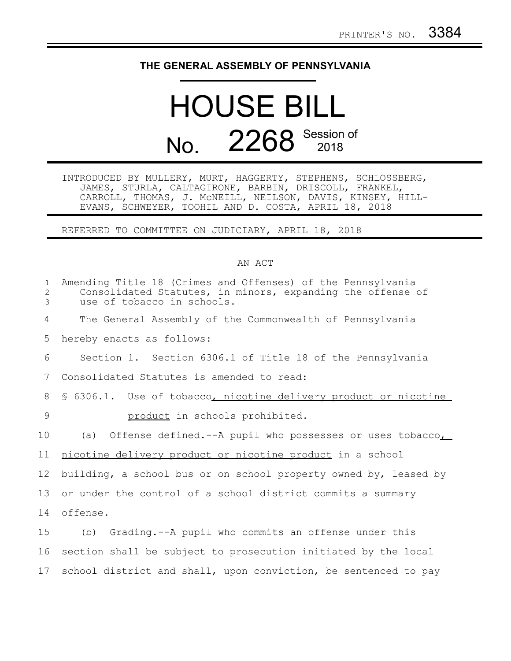## **THE GENERAL ASSEMBLY OF PENNSYLVANIA**

## HOUSE BILL No. 2268 Session of

INTRODUCED BY MULLERY, MURT, HAGGERTY, STEPHENS, SCHLOSSBERG, JAMES, STURLA, CALTAGIRONE, BARBIN, DRISCOLL, FRANKEL, CARROLL, THOMAS, J. McNEILL, NEILSON, DAVIS, KINSEY, HILL-EVANS, SCHWEYER, TOOHIL AND D. COSTA, APRIL 18, 2018

REFERRED TO COMMITTEE ON JUDICIARY, APRIL 18, 2018

## AN ACT

| $\mathbf{1}$<br>2<br>3 | Amending Title 18 (Crimes and Offenses) of the Pennsylvania<br>Consolidated Statutes, in minors, expanding the offense of<br>use of tobacco in schools. |
|------------------------|---------------------------------------------------------------------------------------------------------------------------------------------------------|
| 4                      | The General Assembly of the Commonwealth of Pennsylvania                                                                                                |
| 5                      | hereby enacts as follows:                                                                                                                               |
| 6                      | Section 1. Section 6306.1 of Title 18 of the Pennsylvania                                                                                               |
| 7                      | Consolidated Statutes is amended to read:                                                                                                               |
| 8                      | \$ 6306.1. Use of tobacco, nicotine delivery product or nicotine                                                                                        |
| 9                      | product in schools prohibited.                                                                                                                          |
| 10                     | Offense defined.--A pupil who possesses or uses tobacco,<br>(a)                                                                                         |
| 11                     | nicotine delivery product or nicotine product in a school                                                                                               |
| 12                     | building, a school bus or on school property owned by, leased by                                                                                        |
| 13                     | or under the control of a school district commits a summary                                                                                             |
|                        |                                                                                                                                                         |
| 14                     | offense.                                                                                                                                                |
| 15                     | (b) Grading.--A pupil who commits an offense under this                                                                                                 |
| 16                     | section shall be subject to prosecution initiated by the local                                                                                          |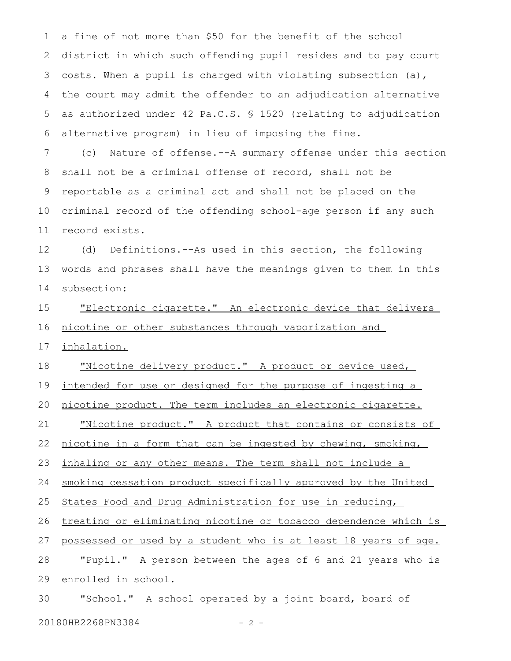a fine of not more than \$50 for the benefit of the school district in which such offending pupil resides and to pay court costs. When a pupil is charged with violating subsection (a), the court may admit the offender to an adjudication alternative as authorized under 42 Pa.C.S. § 1520 (relating to adjudication alternative program) in lieu of imposing the fine. 1 2 3 4 5 6

(c) Nature of offense.--A summary offense under this section shall not be a criminal offense of record, shall not be reportable as a criminal act and shall not be placed on the criminal record of the offending school-age person if any such record exists. 7 8 9 10 11

(d) Definitions.--As used in this section, the following words and phrases shall have the meanings given to them in this subsection: 12 13 14

"Electronic cigarette." An electronic device that delivers nicotine or other substances through vaporization and 15 16

inhalation. 17

"Nicotine delivery product." A product or device used, 18

intended for use or designed for the purpose of ingesting a 19

nicotine product. The term includes an electronic cigarette. 20

"Nicotine product." A product that contains or consists of 21

nicotine in a form that can be ingested by chewing, smoking, 22

inhaling or any other means. The term shall not include a 23

smoking cessation product specifically approved by the United 24

States Food and Drug Administration for use in reducing, 25

treating or eliminating nicotine or tobacco dependence which is 26

possessed or used by a student who is at least 18 years of age. 27

"Pupil." A person between the ages of 6 and 21 years who is enrolled in school. 28 29

"School." A school operated by a joint board, board of 20180HB2268PN3384 - 2 -30